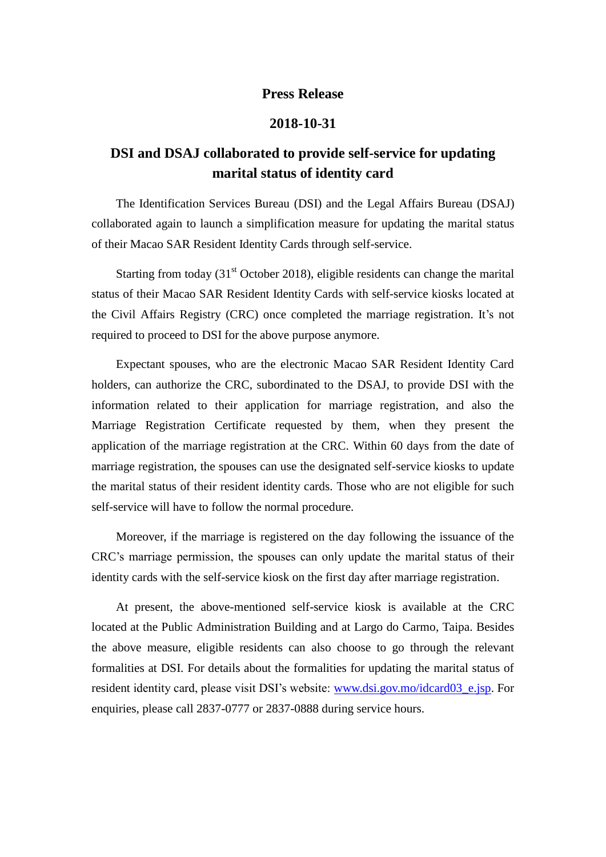## **Press Release**

## **2018-10-31**

## **DSI and DSAJ collaborated to provide self-service for updating marital status of identity card**

The Identification Services Bureau (DSI) and the Legal Affairs Bureau (DSAJ) collaborated again to launch a simplification measure for updating the marital status of their Macao SAR Resident Identity Cards through self-service.

Starting from today  $(31<sup>st</sup> October 2018)$ , eligible residents can change the marital status of their Macao SAR Resident Identity Cards with self-service kiosks located at the Civil Affairs Registry (CRC) once completed the marriage registration. It's not required to proceed to DSI for the above purpose anymore.

Expectant spouses, who are the electronic Macao SAR Resident Identity Card holders, can authorize the CRC, subordinated to the DSAJ, to provide DSI with the information related to their application for marriage registration, and also the Marriage Registration Certificate requested by them, when they present the application of the marriage registration at the CRC. Within 60 days from the date of marriage registration, the spouses can use the designated self-service kiosks to update the marital status of their resident identity cards. Those who are not eligible for such self-service will have to follow the normal procedure.

Moreover, if the marriage is registered on the day following the issuance of the CRC's marriage permission, the spouses can only update the marital status of their identity cards with the self-service kiosk on the first day after marriage registration.

At present, the above-mentioned self-service kiosk is available at the CRC located at the Public Administration Building and at Largo do Carmo, Taipa. Besides the above measure, eligible residents can also choose to go through the relevant formalities at DSI. For details about the formalities for updating the marital status of resident identity card, please visit DSI's website: [www.dsi.gov.mo/idcard03\\_e.jsp.](http://www.dsi.gov.mo/idcard03_e.jsp) For enquiries, please call 2837-0777 or 2837-0888 during service hours.